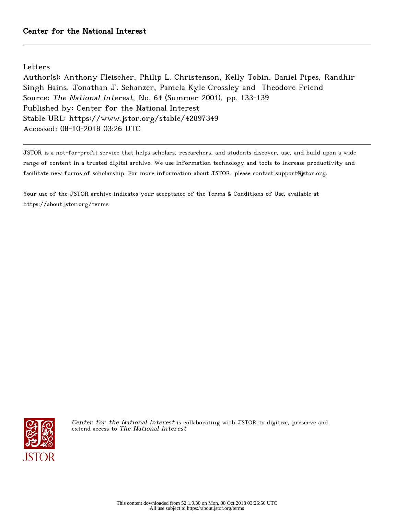Letters

Author(s): Anthony Fleischer, Philip L. Christenson, Kelly Tobin, Daniel Pipes, Randhir Singh Bains, Jonathan J. Schanzer, Pamela Kyle Crossley and Theodore Friend Source: The National Interest, No. 64 (Summer 2001), pp. 133-139 Published by: Center for the National Interest Stable URL: https://www.jstor.org/stable/42897349 Accessed: 08-10-2018 03:26 UTC

JSTOR is a not-for-profit service that helps scholars, researchers, and students discover, use, and build upon a wide range of content in a trusted digital archive. We use information technology and tools to increase productivity and facilitate new forms of scholarship. For more information about JSTOR, please contact support@jstor.org.

Your use of the JSTOR archive indicates your acceptance of the Terms & Conditions of Use, available at https://about.jstor.org/terms



Center for the National Interest is collaborating with JSTOR to digitize, preserve and extend access to The National Interest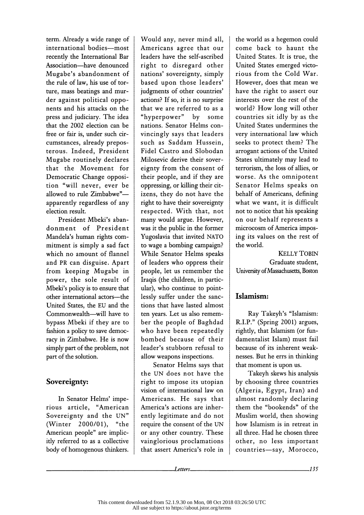term. Already a wide range of international bodies-most recently the International Bar Association-have denounced Mugabe's abandonment of the rule of law, his use of tor ture, mass beatings and mur der against political oppo nents and his attacks on the press and judiciary. The idea that the 2002 election can be free or fair is, under such cir cumstances, already prepos terous. Indeed, President Mugabe routinely declares that the Movement for Democratic Change opposi tion "will never, ever be allowed to rule Zimbabwe" apparently regardless of any election result.

 President Mbeki's aban donment of President Mandela's human rights com mitment is simply a sad fact which no amount of flannel and PR can disguise. Apart from keeping Mugabe in power, the sole result of Mbeki's policy is to ensure that other international actors---the United States, the EU and the Commonwealth-will have to bypass Mbeki if they are to fashion a policy to save democ racy in Zimbabwe. He is now simply part of the problem, not part of the solution.

### Sovereignty:

In Senator Helms' impe rious article, "American | Sovereignty and the UN" (Winter 2000/01), "the American people" are implicitly referred to as a collective body of homogenous thinkers.

 Would any, never mind all, Americans agree that our leaders have the self-ascribed right to disregard other nations' sovereignty, simply based upon those leaders' judgments of other countries' actions? If so, it is no surprise that we are referred to as a "hyperpower" by some nations. Senator Helms con vincingly says that leaders such as Saddam Hussein, Fidel Castro and Slobodan Milosevic derive their sover eignty from the consent of their people, and if they are oppressing, or killing their cit izens, they do not have the right to have their sovereignty respected. With that, not many would argue. However, was it the public in the former Yugoslavia that invited NATO to wage a bombing campaign? While Senator Helms speaks of leaders who oppress their people, let us remember the Iraqis (the children, in partic ular), who continue to point lessly suffer under the sanc tions that have lasted almost ten years. Let us also remem ber the people of Baghdad who have been repeatedly bombed because of their leader's stubborn refusal to allow weapons inspections.

 Senator Helms says that the UN does not have the right to impose its utopian vision of international law on Americans. He says that America's actions are inher ently legitimate and do not require the consent of the UN or any other country. These vainglorious proclamations that assert America's role in

 the world as a hegemon could come back to haunt the United States. It is true, the United States emerged victo rious from the Cold War. However, does that mean we have the right to assert our interests over the rest of the world? How long will other countries sit idly by as the United States undermines the very international law which seeks to protect them? The arrogant actions of the United States ultimately may lead to terrorism, the loss of allies, or worse. As the omnipotent Senator Helms speaks on behalf of Americans, defining what we want, it is difficult not to notice that his speaking on our behalf represents a microcosm of America impos ing its values on the rest of the world.

 KELLY TOBIN Graduate student, University of Massachusetts, Boston

### Islamism:

 Ray Takeyh's "Islamism: R.I.P." (Spring 2001) argues, rightly, that Islamism (or fun damentalist Islam) must fail because of its inherent weak nesses. But he errs in thinking that moment is upon us.

 Takeyh skews his analysis by choosing three countries (Algeria, Egypt, Iran) and almost randomly declaring them the "bookends" of the Muslim world, then showing how Islamism is in retreat in all three. Had he chosen three other, no less important countries-say, Morocco,

Letters.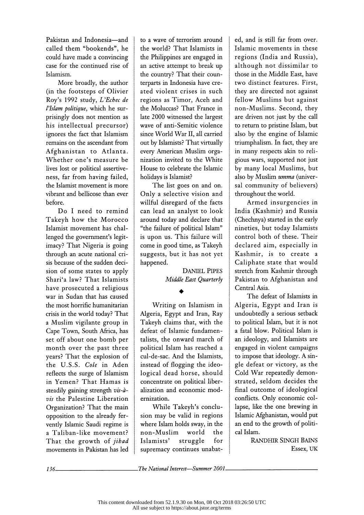Pakistan and Indonesia-and called them "bookends", he could have made a convincing case for the continued rise of Islamism.

 More broadly, the author (in the footsteps of Olivier Roy's 1992 study, L'Echec de l'Islam politique, which he sur prisingly does not mention as his intellectual precursor) ignores the fact that Islamism remains on the ascendant from Afghanistan to Atlanta. Whether one's measure be lives lost or political assertive ness, far from having failed, the Islamist movement is more vibrant and bellicose than ever before.

 Do I need to remind Takeyh how the Morocco Islamist movement has chal lenged the government's legit imacy? That Nigeria is going through an acute national cri sis because of the sudden deci sion of some states to apply Shari'a law? That Islamists have prosecuted a religious war in Sudan that has caused the most horrific humanitarian crisis in the world today? That a Muslim vigilante group in Cape Town, South Africa, has set off about one bomb per month over the past three years? That the explosion of the U.S.S. Cole in Aden reflects the surge of Islamism in Yemen? That Hamas is steadily gaining strength vis-à vis the Palestine Liberation Organization? That the main opposition to the already fer vently Islamic Saudi regime is a Taliban-like movement? That the growth of *jihad* movements in Pakistan has led  to a wave of terrorism around the world? That Islamists in the Philippines are engaged in an active attempt to break up the country? That their coun terparts in Indonesia have cre ated violent crises in such regions as Timor, Aceh and the Moluccas? That France in late 2000 witnessed the largest wave of anti-Semitic violence since World War II, all carried out by Islamists? That virtually every American Muslim orga nization invited to the White House to celebrate the Islamic holidays is Islamist?

 The list goes on and on. Only a selective vision and willful disregard of the facts can lead an analyst to look around today and declare that "the failure of political Islam" is upon us. This failure will come in good time, as Takeyh suggests, but it has not yet happened.

> DANIEL PIPES Middle East Quarterly

#### ♦

 Writing on Islamism in Algeria, Egypt and Iran, Ray Takeyh claims that, with the defeat of Islamic fundamen talists, the onward march of political Islam has reached a cul-de-sac. And the Islamists, instead of flogging the ideo logical dead horse, should concentrate on political liber alization and economic mod ernization.

 While Takeyh's conclu sion may be valid in regions where Islam holds sway, in the<br>non-Muslim world the non-Muslim world the Islamists' struggle for supremacy continues unabat ed, and is still far from over. Islamic movements in these regions (India and Russia), although not dissimilar to those in the Middle East, have two distinct features. First, they are directed not against fellow Muslims but against non-Muslims. Second, they are driven not just by the call to return to pristine Islam, but also by the engine of Islamic triumphalism. In fact, they are in many respects akin to reli gious wars, supported not just by many local Muslims, but also by Muslim umma (univer sal community of believers) throughout the world.

 Armed insurgencies in India (Kashmir) and Russia (Chechnya) started in the early nineties, but today Islamists control both of these. Their declared aim, especially in Kashmir, is to create a Caliphate state that would stretch from Kashmir through Pakistan to Afghanistan and Central Asia.

 The defeat of Islamists in Algeria, Egypt and Iran is undoubtedly a serious setback to political Islam, but it is not a fatal blow. Political Islam is an ideology, and Islamists are engaged in violent campaigns to impose that ideology. A sin gle defeat or victory, as the Cold War repeatedly demon strated, seldom decides the final outcome of ideological conflicts. Only economic col lapse, like the one brewing in Islamic Afghanistan, would put an end to the growth of politi cal Islam.

> RANDHIR SINGH BAINS Essex, UK

The National Interest–Summer 2001\_

 $136-$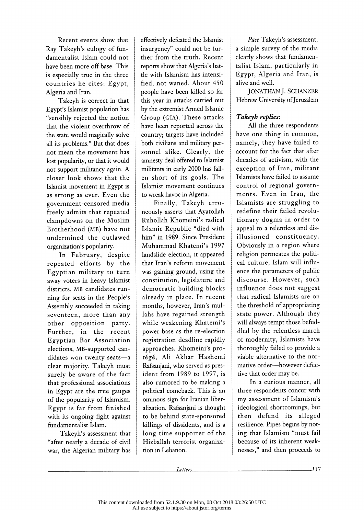Recent events show that Ray Takeyh's eulogy of fun damentalist Islam could not have been more off base. This is especially true in the three countries he cites: Egypt, Algeria and Iran.

 Takeyh is correct in that Egypt's Islamist population has "sensibly rejected the notion that the violent overthrow of the state would magically solve all its problems." But that does not mean the movement has lost popularity, or that it would not support militancy again. A closer look shows that the Islamist movement in Egypt is as strong as ever. Even the government-censored media freely admits that repeated clampdowns on the Muslim Brotherhood (MB) have not undermined the outlawed organization's popularity.

 In February, despite repeated efforts by the Egyptian military to turn away voters in heavy Islamist districts, MB candidates run ning for seats in the People's Assembly succeeded in taking seventeen, more than any other opposition party. Further, in the recent Egyptian Bar Association elections, MB-supported can didates won twenty seats-a clear majority. Takeyh must surely be aware of the fact that professional associations in Egypt are the true gauges of the popularity of Islamism. Egypt is far from finished with its ongoing fight against fundamentalist Islam.

 Takeyh's assessment that "after nearly a decade of civil war, the Algerian military has  effectively defeated the Islamist insurgency" could not be far ther from the truth. Recent reports show that Algeria's bat tle with Islamism has intensi fied, not waned. About 450 people have been killed so far this year in attacks carried out by the extremist Armed Islamic Group (GIA). These attacks have been reported across the country; targets have included both civilians and military per sonnel alike. Clearly, the amnesty deal offered to Islamist militants in early 2000 has fall en short of its goals. The Islamist movement continues to wreak havoc in Algeria.

 Finally, Takeyh erro neously asserts that Ayatollah Ruhollah Khomeini's radical Islamic Republic "died with him" in 1989. Since President Muhammad Khatemi's 1997 landslide election, it appeared that Iran's reform movement was gaining ground, using the constitution, legislature and democratic building blocks already in place. In recent months, however, Iran's mul lahs have regained strength while weakening Khatemi's power base as the re-election registration deadline rapidly approaches. Khomeini's pro tégé, Ali Akbar Hashemi Rafsanjani, who served as pres ident from 1989 to 1997, is also rumored to be making a political comeback. This is an ominous sign for Iranian liber alization. Rafsanjani is thought to be behind state-sponsored killings of dissidents, and is a long time supporter of the Hizballah terrorist organiza tion in Lebanon.

Pace Takeyh's assessment, a simple survey of the media clearly shows that fundamen talist Islam, particularly in Egypt, Algeria and Iran, is alive and well.

 JONATHAN J. SCHANZER Hebrew University of Jerusalem

## Takeyh replies:

 All the three respondents have one thing in common, namely, they have failed to account for the fact that after decades of activism, with the exception of Iran, militant Islamists have failed to assume control of regional govern ments. Even in Iran, the Islamists are struggling to redefine their failed revolu tionary dogma in order to appeal to a relentless and dis illusioned constituency. Obviously in a region where religion permeates the politi cal culture, Islam will influ ence the parameters of public discourse. However, such influence does not suggest that radical Islamists are on the threshold of appropriating state power. Although they will always tempt those befud dled by the relentless march of modernity, Islamists have thoroughly failed to provide a viable alternative to the nor mative order-however defective that order may be.

 In a curious manner, all three respondents concur with my assessment of Islamism's ideological shortcomings, but then defend its alleged resilience. Pipes begins by not ing that Islamism "must fail because of its inherent weak nesses," and then proceeds to

Letters.